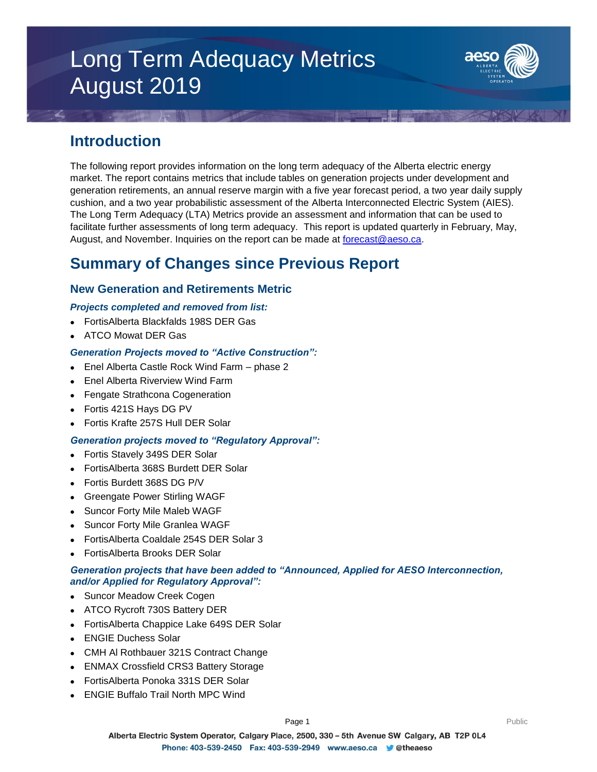# Long Term Adequacy Metrics August 2019



### **Introduction**

The following report provides information on the long term adequacy of the Alberta electric energy market. The report contains metrics that include tables on generation projects under development and generation retirements, an annual reserve margin with a five year forecast period, a two year daily supply cushion, and a two year probabilistic assessment of the Alberta Interconnected Electric System (AIES). The Long Term Adequacy (LTA) Metrics provide an assessment and information that can be used to facilitate further assessments of long term adequacy. This report is updated quarterly in February, May, August, and November. Inquiries on the report can be made at [forecast@aeso.ca.](mailto:forecast@aeso.ca)

## **Summary of Changes since Previous Report**

### **New Generation and Retirements Metric**

### *Projects completed and removed from list:*

- FortisAlberta Blackfalds 198S DER Gas
- ATCO Mowat DER Gas

### *Generation Projects moved to "Active Construction":*

- Enel Alberta Castle Rock Wind Farm phase 2
- Enel Alberta Riverview Wind Farm
- Fengate Strathcona Cogeneration
- Fortis 421S Hays DG PV
- Fortis Krafte 257S Hull DER Solar

### *Generation projects moved to "Regulatory Approval":*

- Fortis Stavely 349S DER Solar
- FortisAlberta 368S Burdett DER Solar
- Fortis Burdett 368S DG P/V
- Greengate Power Stirling WAGF
- Suncor Forty Mile Maleb WAGF
- Suncor Forty Mile Granlea WAGF
- FortisAlberta Coaldale 254S DER Solar 3
- FortisAlberta Brooks DER Solar

### *Generation projects that have been added to "Announced, Applied for AESO Interconnection, and/or Applied for Regulatory Approval":*

- Suncor Meadow Creek Cogen
- ATCO Rycroft 730S Battery DER
- FortisAlberta Chappice Lake 649S DER Solar
- ENGIE Duchess Solar
- CMH Al Rothbauer 321S Contract Change
- ENMAX Crossfield CRS3 Battery Storage
- FortisAlberta Ponoka 331S DER Solar
- ENGIE Buffalo Trail North MPC Wind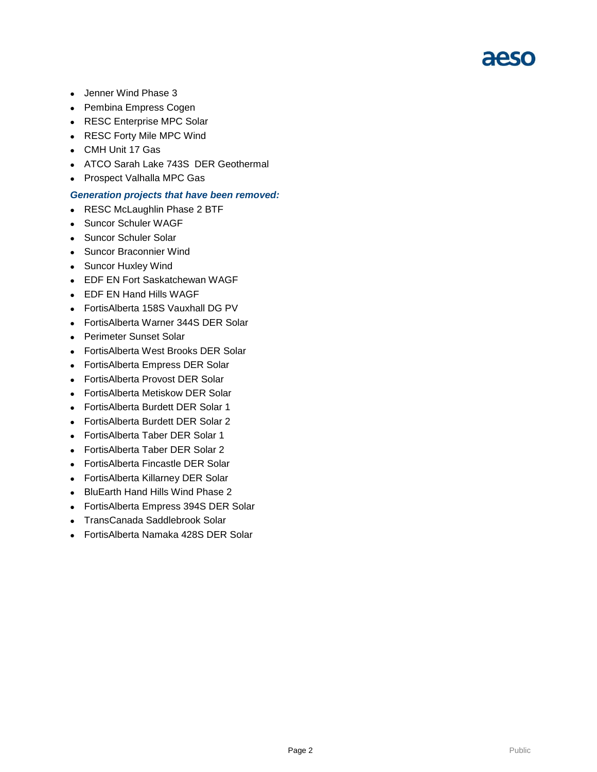# aeso

- Jenner Wind Phase 3
- Pembina Empress Cogen
- RESC Enterprise MPC Solar
- RESC Forty Mile MPC Wind
- CMH Unit 17 Gas
- ATCO Sarah Lake 743S DER Geothermal
- Prospect Valhalla MPC Gas

#### *Generation projects that have been removed:*

- RESC McLaughlin Phase 2 BTF
- Suncor Schuler WAGF
- Suncor Schuler Solar
- Suncor Braconnier Wind
- Suncor Huxley Wind
- EDF EN Fort Saskatchewan WAGF
- EDF EN Hand Hills WAGF
- FortisAlberta 158S Vauxhall DG PV
- FortisAlberta Warner 344S DER Solar
- Perimeter Sunset Solar
- FortisAlberta West Brooks DER Solar
- FortisAlberta Empress DER Solar
- FortisAlberta Provost DER Solar
- FortisAlberta Metiskow DER Solar
- FortisAlberta Burdett DER Solar 1
- FortisAlberta Burdett DER Solar 2
- FortisAlberta Taber DER Solar 1
- FortisAlberta Taber DER Solar 2
- FortisAlberta Fincastle DER Solar
- FortisAlberta Killarney DER Solar
- BluEarth Hand Hills Wind Phase 2
- FortisAlberta Empress 394S DER Solar
- TransCanada Saddlebrook Solar
- FortisAlberta Namaka 428S DER Solar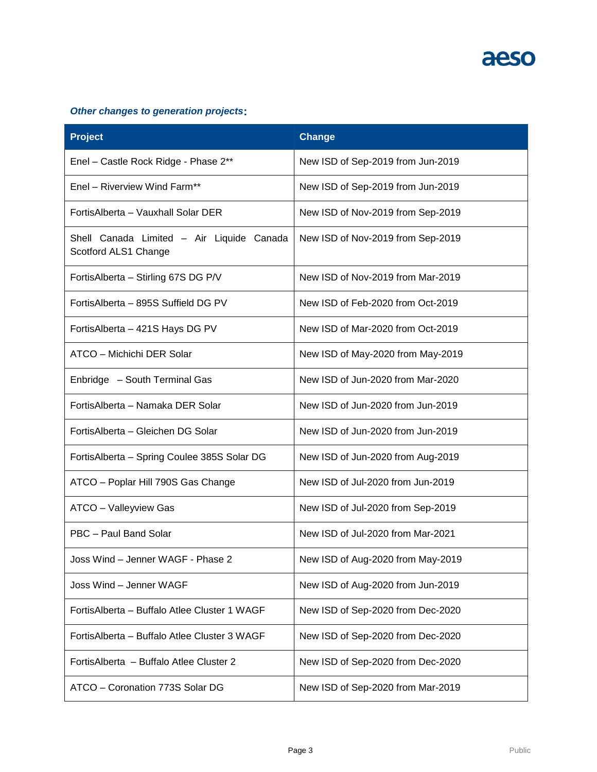

### *Other changes to generation projects***:**

| <b>Project</b>                                                    | <b>Change</b>                     |
|-------------------------------------------------------------------|-----------------------------------|
| Enel - Castle Rock Ridge - Phase 2**                              | New ISD of Sep-2019 from Jun-2019 |
| Enel - Riverview Wind Farm**                                      | New ISD of Sep-2019 from Jun-2019 |
| FortisAlberta - Vauxhall Solar DER                                | New ISD of Nov-2019 from Sep-2019 |
| Shell Canada Limited - Air Liquide Canada<br>Scotford ALS1 Change | New ISD of Nov-2019 from Sep-2019 |
| FortisAlberta - Stirling 67S DG P/V                               | New ISD of Nov-2019 from Mar-2019 |
| FortisAlberta - 895S Suffield DG PV                               | New ISD of Feb-2020 from Oct-2019 |
| Fortis Alberta - 421S Hays DG PV                                  | New ISD of Mar-2020 from Oct-2019 |
| ATCO - Michichi DER Solar                                         | New ISD of May-2020 from May-2019 |
| Enbridge - South Terminal Gas                                     | New ISD of Jun-2020 from Mar-2020 |
| FortisAlberta - Namaka DER Solar                                  | New ISD of Jun-2020 from Jun-2019 |
| FortisAlberta - Gleichen DG Solar                                 | New ISD of Jun-2020 from Jun-2019 |
| FortisAlberta - Spring Coulee 385S Solar DG                       | New ISD of Jun-2020 from Aug-2019 |
| ATCO - Poplar Hill 790S Gas Change                                | New ISD of Jul-2020 from Jun-2019 |
| ATCO - Valleyview Gas                                             | New ISD of Jul-2020 from Sep-2019 |
| PBC - Paul Band Solar                                             | New ISD of Jul-2020 from Mar-2021 |
| Joss Wind – Jenner WAGF - Phase 2                                 | New ISD of Aug-2020 from May-2019 |
| Joss Wind - Jenner WAGF                                           | New ISD of Aug-2020 from Jun-2019 |
| FortisAlberta - Buffalo Atlee Cluster 1 WAGF                      | New ISD of Sep-2020 from Dec-2020 |
| FortisAlberta - Buffalo Atlee Cluster 3 WAGF                      | New ISD of Sep-2020 from Dec-2020 |
| FortisAlberta - Buffalo Atlee Cluster 2                           | New ISD of Sep-2020 from Dec-2020 |
| ATCO - Coronation 773S Solar DG                                   | New ISD of Sep-2020 from Mar-2019 |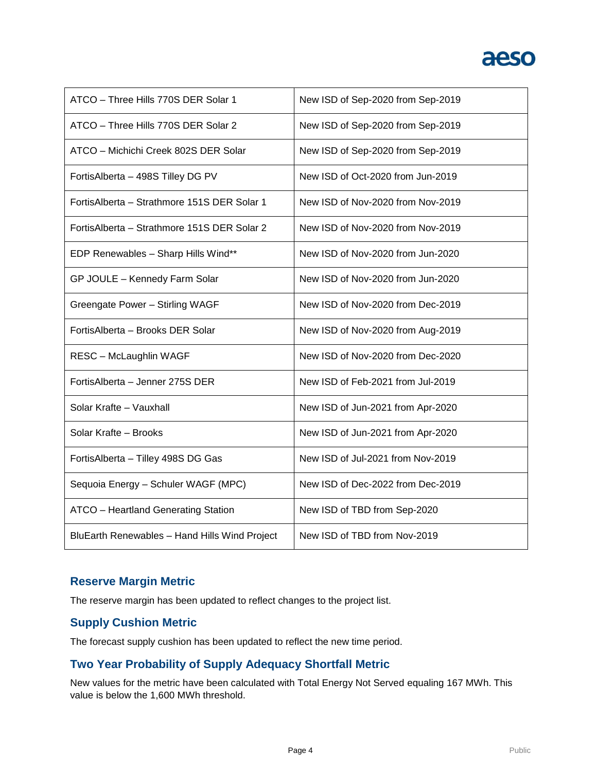# aeso

| ATCO - Three Hills 770S DER Solar 1           | New ISD of Sep-2020 from Sep-2019 |
|-----------------------------------------------|-----------------------------------|
| ATCO - Three Hills 770S DER Solar 2           | New ISD of Sep-2020 from Sep-2019 |
| ATCO - Michichi Creek 802S DER Solar          | New ISD of Sep-2020 from Sep-2019 |
| FortisAlberta - 498S Tilley DG PV             | New ISD of Oct-2020 from Jun-2019 |
| FortisAlberta - Strathmore 151S DER Solar 1   | New ISD of Nov-2020 from Nov-2019 |
| FortisAlberta - Strathmore 151S DER Solar 2   | New ISD of Nov-2020 from Nov-2019 |
| EDP Renewables - Sharp Hills Wind**           | New ISD of Nov-2020 from Jun-2020 |
| GP JOULE - Kennedy Farm Solar                 | New ISD of Nov-2020 from Jun-2020 |
| Greengate Power - Stirling WAGF               | New ISD of Nov-2020 from Dec-2019 |
| FortisAlberta - Brooks DER Solar              | New ISD of Nov-2020 from Aug-2019 |
| <b>RESC - McLaughlin WAGF</b>                 | New ISD of Nov-2020 from Dec-2020 |
| FortisAlberta - Jenner 275S DER               | New ISD of Feb-2021 from Jul-2019 |
| Solar Krafte - Vauxhall                       | New ISD of Jun-2021 from Apr-2020 |
| Solar Krafte - Brooks                         | New ISD of Jun-2021 from Apr-2020 |
| FortisAlberta - Tilley 498S DG Gas            | New ISD of Jul-2021 from Nov-2019 |
| Sequoia Energy - Schuler WAGF (MPC)           | New ISD of Dec-2022 from Dec-2019 |
| <b>ATCO</b> - Heartland Generating Station    | New ISD of TBD from Sep-2020      |
| BluEarth Renewables - Hand Hills Wind Project | New ISD of TBD from Nov-2019      |

### **Reserve Margin Metric**

The reserve margin has been updated to reflect changes to the project list.

### **Supply Cushion Metric**

The forecast supply cushion has been updated to reflect the new time period.

### **Two Year Probability of Supply Adequacy Shortfall Metric**

New values for the metric have been calculated with Total Energy Not Served equaling 167 MWh. This value is below the 1,600 MWh threshold.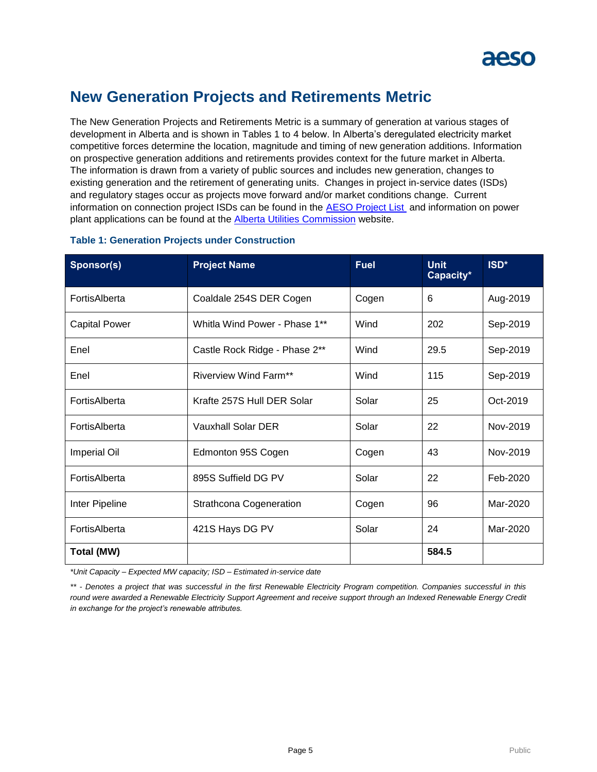## **New Generation Projects and Retirements Metric**

The New Generation Projects and Retirements Metric is a summary of generation at various stages of development in Alberta and is shown in Tables 1 to 4 below. In Alberta's deregulated electricity market competitive forces determine the location, magnitude and timing of new generation additions. Information on prospective generation additions and retirements provides context for the future market in Alberta. The information is drawn from a variety of public sources and includes new generation, changes to existing generation and the retirement of generating units. Changes in project in-service dates (ISDs) and regulatory stages occur as projects move forward and/or market conditions change. Current information on connection project ISDs can be found in the [AESO Project List](https://www.aeso.ca/grid/connecting-to-the-grid/) and information on power plant applications can be found at the **Alberta Utilities Commission** website.

| Sponsor(s)           | <b>Project Name</b>           | <b>Fuel</b> | <b>Unit</b><br>Capacity* | ISD*     |
|----------------------|-------------------------------|-------------|--------------------------|----------|
| FortisAlberta        | Coaldale 254S DER Cogen       | Cogen       | 6                        | Aug-2019 |
| <b>Capital Power</b> | Whitla Wind Power - Phase 1** | Wind        | 202                      | Sep-2019 |
| Enel                 | Castle Rock Ridge - Phase 2** | Wind        | 29.5                     | Sep-2019 |
| Enel                 | <b>Riverview Wind Farm**</b>  | Wind        | 115                      | Sep-2019 |
| FortisAlberta        | Krafte 257S Hull DER Solar    | Solar       | 25                       | Oct-2019 |
| FortisAlberta        | Vauxhall Solar DER            | Solar       | 22                       | Nov-2019 |
| <b>Imperial Oil</b>  | Edmonton 95S Cogen            | Cogen       | 43                       | Nov-2019 |
| FortisAlberta        | 895S Suffield DG PV           | Solar       | 22                       | Feb-2020 |
| Inter Pipeline       | Strathcona Cogeneration       | Cogen       | 96                       | Mar-2020 |
| FortisAlberta        | 421S Hays DG PV               | Solar       | 24                       | Mar-2020 |
| <b>Total (MW)</b>    |                               |             | 584.5                    |          |

### **Table 1: Generation Projects under Construction**

*\*Unit Capacity – Expected MW capacity; ISD – Estimated in-service date*

*\*\* - Denotes a project that was successful in the first Renewable Electricity Program competition. Companies successful in this round were awarded a Renewable Electricity Support Agreement and receive support through an Indexed Renewable Energy Credit in exchange for the project's renewable attributes.*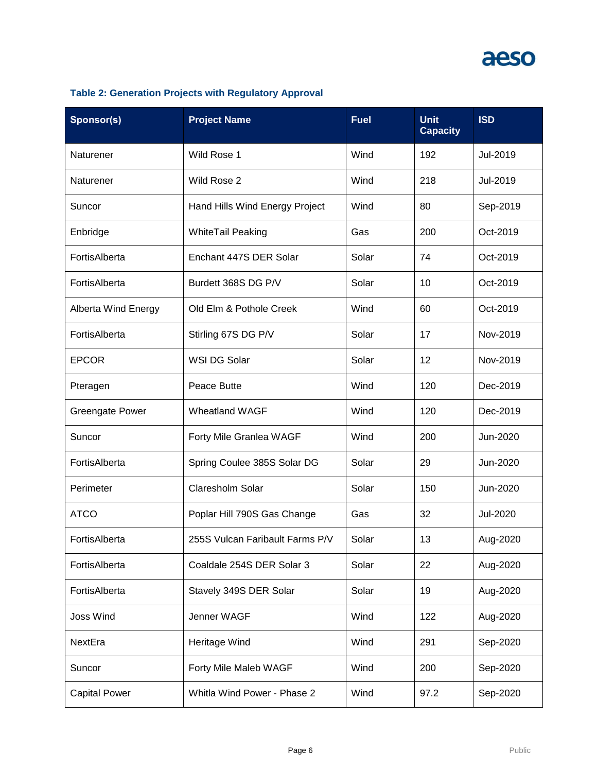# aeso

### **Table 2: Generation Projects with Regulatory Approval**

| Sponsor(s)                 | <b>Project Name</b>             | <b>Fuel</b> | <b>Unit</b><br><b>Capacity</b> | <b>ISD</b> |
|----------------------------|---------------------------------|-------------|--------------------------------|------------|
| Naturener                  | Wild Rose 1                     | Wind        | 192                            | Jul-2019   |
| Naturener                  | Wild Rose 2                     | Wind        | 218                            | Jul-2019   |
| Suncor                     | Hand Hills Wind Energy Project  | Wind        | 80                             | Sep-2019   |
| Enbridge                   | <b>WhiteTail Peaking</b>        | Gas         | 200                            | Oct-2019   |
| FortisAlberta              | Enchant 447S DER Solar          | Solar       | 74                             | Oct-2019   |
| FortisAlberta              | Burdett 368S DG P/V             | Solar       | 10                             | Oct-2019   |
| <b>Alberta Wind Energy</b> | Old Elm & Pothole Creek         | Wind        | 60                             | Oct-2019   |
| FortisAlberta              | Stirling 67S DG P/V             | Solar       | 17                             | Nov-2019   |
| <b>EPCOR</b>               | WSI DG Solar                    | Solar       | 12                             | Nov-2019   |
| Pteragen                   | Peace Butte                     | Wind        | 120                            | Dec-2019   |
| <b>Greengate Power</b>     | <b>Wheatland WAGF</b>           | Wind        | 120                            | Dec-2019   |
| Suncor                     | Forty Mile Granlea WAGF         | Wind        | 200                            | Jun-2020   |
| FortisAlberta              | Spring Coulee 385S Solar DG     | Solar       | 29                             | Jun-2020   |
| Perimeter                  | Claresholm Solar                | Solar       | 150                            | Jun-2020   |
| <b>ATCO</b>                | Poplar Hill 790S Gas Change     | Gas         | 32                             | Jul-2020   |
| FortisAlberta              | 255S Vulcan Faribault Farms P/V | Solar       | 13                             | Aug-2020   |
| FortisAlberta              | Coaldale 254S DER Solar 3       | Solar       | 22                             | Aug-2020   |
| FortisAlberta              | Stavely 349S DER Solar          | Solar       | 19                             | Aug-2020   |
| <b>Joss Wind</b>           | Jenner WAGF                     | Wind        | 122                            | Aug-2020   |
| NextEra                    | Heritage Wind                   | Wind        | 291                            | Sep-2020   |
| Suncor                     | Forty Mile Maleb WAGF           | Wind        | 200                            | Sep-2020   |
| <b>Capital Power</b>       | Whitla Wind Power - Phase 2     | Wind        | 97.2                           | Sep-2020   |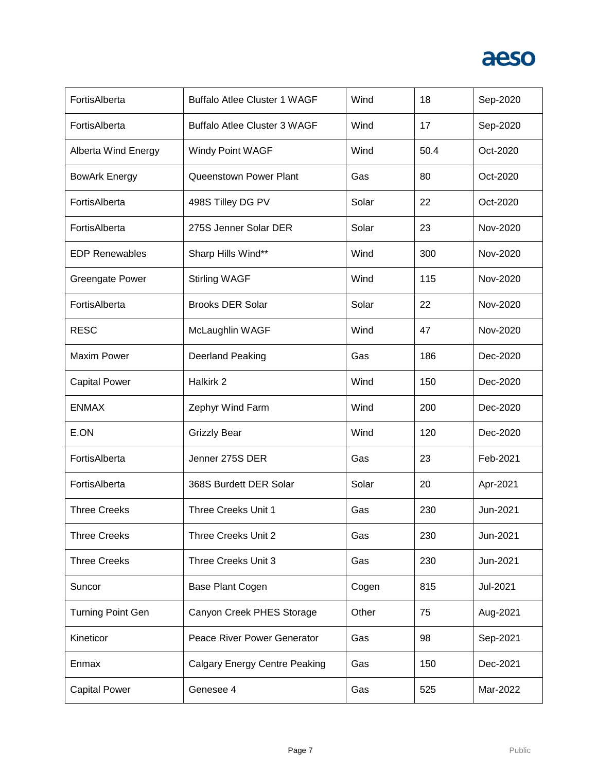

| FortisAlberta              | <b>Buffalo Atlee Cluster 1 WAGF</b>  | Wind  | 18   | Sep-2020 |
|----------------------------|--------------------------------------|-------|------|----------|
| FortisAlberta              | <b>Buffalo Atlee Cluster 3 WAGF</b>  | Wind  | 17   | Sep-2020 |
| <b>Alberta Wind Energy</b> | Windy Point WAGF                     | Wind  | 50.4 | Oct-2020 |
| <b>BowArk Energy</b>       | Queenstown Power Plant               | Gas   | 80   | Oct-2020 |
| FortisAlberta              | 498S Tilley DG PV                    | Solar | 22   | Oct-2020 |
| FortisAlberta              | 275S Jenner Solar DER                | Solar | 23   | Nov-2020 |
| <b>EDP Renewables</b>      | Sharp Hills Wind**                   | Wind  | 300  | Nov-2020 |
| <b>Greengate Power</b>     | <b>Stirling WAGF</b>                 | Wind  | 115  | Nov-2020 |
| FortisAlberta              | <b>Brooks DER Solar</b>              | Solar | 22   | Nov-2020 |
| <b>RESC</b>                | McLaughlin WAGF                      | Wind  | 47   | Nov-2020 |
| <b>Maxim Power</b>         | <b>Deerland Peaking</b>              | Gas   | 186  | Dec-2020 |
| <b>Capital Power</b>       | Halkirk 2                            | Wind  | 150  | Dec-2020 |
| <b>ENMAX</b>               | Zephyr Wind Farm                     | Wind  | 200  | Dec-2020 |
| E.ON                       | <b>Grizzly Bear</b>                  | Wind  | 120  | Dec-2020 |
| FortisAlberta              | Jenner 275S DER                      | Gas   | 23   | Feb-2021 |
| FortisAlberta              | 368S Burdett DER Solar               | Solar | 20   | Apr-2021 |
| <b>Three Creeks</b>        | Three Creeks Unit 1                  | Gas   | 230  | Jun-2021 |
| <b>Three Creeks</b>        | Three Creeks Unit 2                  | Gas   | 230  | Jun-2021 |
| <b>Three Creeks</b>        | Three Creeks Unit 3                  | Gas   | 230  | Jun-2021 |
| Suncor                     | Base Plant Cogen                     | Cogen | 815  | Jul-2021 |
| <b>Turning Point Gen</b>   | Canyon Creek PHES Storage            | Other | 75   | Aug-2021 |
| Kineticor                  | Peace River Power Generator          | Gas   | 98   | Sep-2021 |
| Enmax                      | <b>Calgary Energy Centre Peaking</b> | Gas   | 150  | Dec-2021 |
| <b>Capital Power</b>       | Genesee 4                            | Gas   | 525  | Mar-2022 |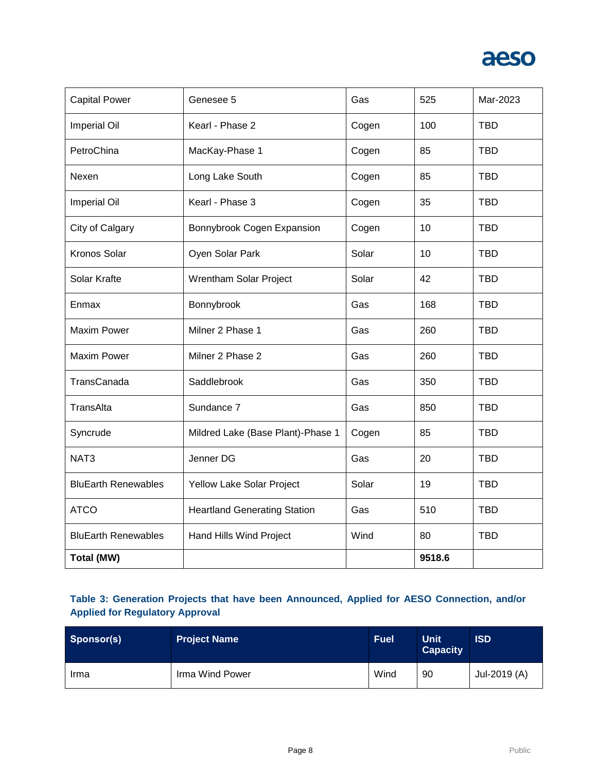

| <b>Capital Power</b>       | Genesee 5                           | Gas   | 525    | Mar-2023   |
|----------------------------|-------------------------------------|-------|--------|------------|
| Imperial Oil               | Kearl - Phase 2                     | Cogen | 100    | <b>TBD</b> |
| PetroChina                 | MacKay-Phase 1                      | Cogen | 85     | <b>TBD</b> |
| Nexen                      | Long Lake South                     | Cogen | 85     | <b>TBD</b> |
| Imperial Oil               | Kearl - Phase 3                     | Cogen | 35     | <b>TBD</b> |
| City of Calgary            | Bonnybrook Cogen Expansion          | Cogen | 10     | <b>TBD</b> |
| <b>Kronos Solar</b>        | Oyen Solar Park                     | Solar | 10     | <b>TBD</b> |
| Solar Krafte               | Wrentham Solar Project              | Solar | 42     | <b>TBD</b> |
| Enmax                      | Bonnybrook                          | Gas   | 168    | <b>TBD</b> |
| <b>Maxim Power</b>         | Milner 2 Phase 1                    | Gas   | 260    | <b>TBD</b> |
| <b>Maxim Power</b>         | Milner 2 Phase 2                    | Gas   | 260    | <b>TBD</b> |
| TransCanada                | Saddlebrook                         | Gas   | 350    | <b>TBD</b> |
| TransAlta                  | Sundance 7                          | Gas   | 850    | <b>TBD</b> |
| Syncrude                   | Mildred Lake (Base Plant)-Phase 1   | Cogen | 85     | <b>TBD</b> |
| NAT <sub>3</sub>           | Jenner DG                           | Gas   | 20     | <b>TBD</b> |
| <b>BluEarth Renewables</b> | Yellow Lake Solar Project           | Solar | 19     | <b>TBD</b> |
| <b>ATCO</b>                | <b>Heartland Generating Station</b> | Gas   | 510    | <b>TBD</b> |
| <b>BluEarth Renewables</b> | Hand Hills Wind Project             | Wind  | 80     | <b>TBD</b> |
| Total (MW)                 |                                     |       | 9518.6 |            |

### **Table 3: Generation Projects that have been Announced, Applied for AESO Connection, and/or Applied for Regulatory Approval**

| Sponsor(s) | <b>Project Name</b> | <b>Fuel</b> | <b>Unit</b><br><b>Capacity</b> | <b>ISD</b>   |
|------------|---------------------|-------------|--------------------------------|--------------|
| Irma       | Irma Wind Power     | Wind        | 90                             | Jul-2019 (A) |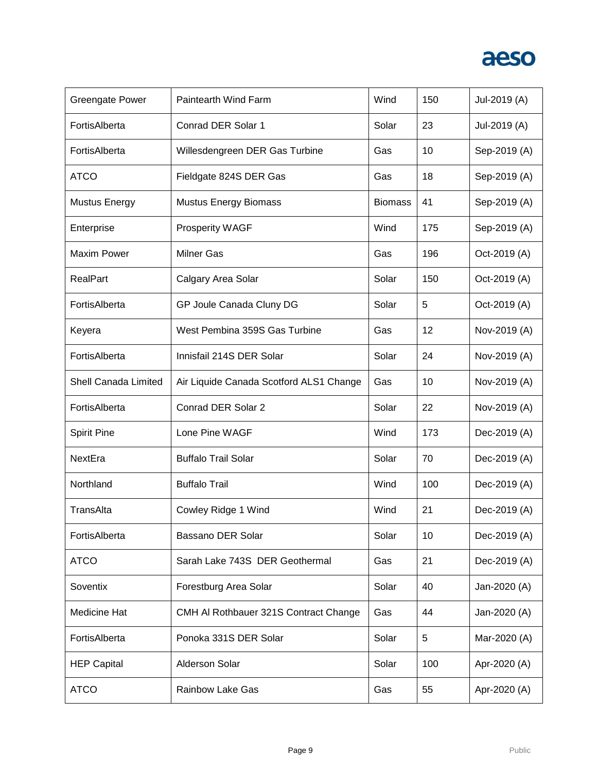

| <b>Greengate Power</b> | Paintearth Wind Farm                    | Wind           | 150 | Jul-2019 (A) |
|------------------------|-----------------------------------------|----------------|-----|--------------|
| FortisAlberta          | Conrad DER Solar 1                      | Solar          | 23  | Jul-2019 (A) |
| FortisAlberta          | Willesdengreen DER Gas Turbine          | Gas            | 10  | Sep-2019 (A) |
| <b>ATCO</b>            | Fieldgate 824S DER Gas                  | Gas            | 18  | Sep-2019 (A) |
| <b>Mustus Energy</b>   | <b>Mustus Energy Biomass</b>            | <b>Biomass</b> | 41  | Sep-2019 (A) |
| Enterprise             | Prosperity WAGF                         | Wind           | 175 | Sep-2019 (A) |
| <b>Maxim Power</b>     | <b>Milner Gas</b>                       | Gas            | 196 | Oct-2019 (A) |
| <b>RealPart</b>        | Calgary Area Solar                      | Solar          | 150 | Oct-2019 (A) |
| FortisAlberta          | GP Joule Canada Cluny DG                | Solar          | 5   | Oct-2019 (A) |
| Keyera                 | West Pembina 359S Gas Turbine           | Gas            | 12  | Nov-2019 (A) |
| FortisAlberta          | Innisfail 214S DER Solar                | Solar          | 24  | Nov-2019 (A) |
| Shell Canada Limited   | Air Liquide Canada Scotford ALS1 Change | Gas            | 10  | Nov-2019 (A) |
| FortisAlberta          | Conrad DER Solar 2                      | Solar          | 22  | Nov-2019 (A) |
| <b>Spirit Pine</b>     | Lone Pine WAGF                          | Wind           | 173 | Dec-2019 (A) |
| NextEra                | <b>Buffalo Trail Solar</b>              | Solar          | 70  | Dec-2019 (A) |
| Northland              | <b>Buffalo Trail</b>                    | Wind           | 100 | Dec-2019 (A) |
| TransAlta              | Cowley Ridge 1 Wind                     | Wind           | 21  | Dec-2019 (A) |
| FortisAlberta          | Bassano DER Solar                       | Solar          | 10  | Dec-2019 (A) |
| <b>ATCO</b>            | Sarah Lake 743S DER Geothermal          | Gas            | 21  | Dec-2019 (A) |
| Soventix               | Forestburg Area Solar                   | Solar          | 40  | Jan-2020 (A) |
| Medicine Hat           | CMH AI Rothbauer 321S Contract Change   | Gas            | 44  | Jan-2020 (A) |
| FortisAlberta          | Ponoka 331S DER Solar                   | Solar          | 5   | Mar-2020 (A) |
| <b>HEP Capital</b>     | <b>Alderson Solar</b>                   | Solar          | 100 | Apr-2020 (A) |
| <b>ATCO</b>            | <b>Rainbow Lake Gas</b>                 | Gas            | 55  | Apr-2020 (A) |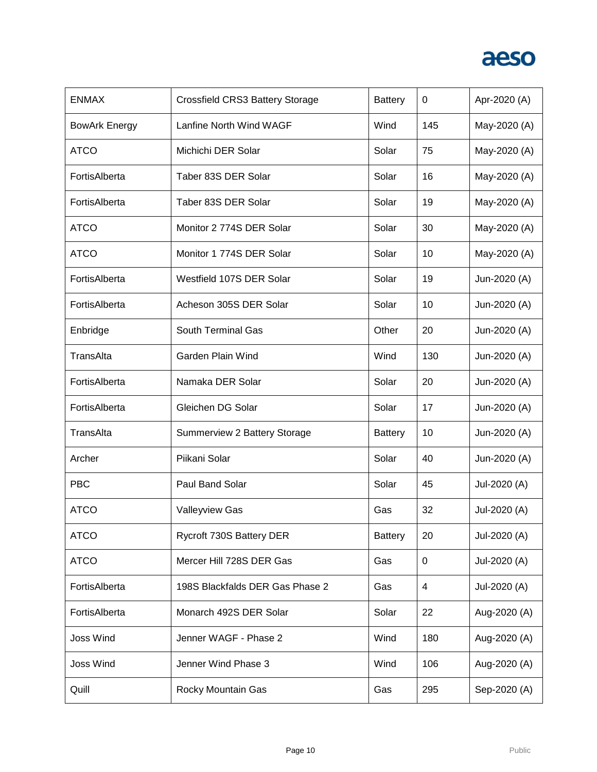

| <b>ENMAX</b>         | Crossfield CRS3 Battery Storage | <b>Battery</b> | 0   | Apr-2020 (A) |
|----------------------|---------------------------------|----------------|-----|--------------|
| <b>BowArk Energy</b> | Lanfine North Wind WAGF         | Wind           | 145 | May-2020 (A) |
| <b>ATCO</b>          | Michichi DER Solar              | Solar          | 75  | May-2020 (A) |
| FortisAlberta        | Taber 83S DER Solar             | Solar          | 16  | May-2020 (A) |
| FortisAlberta        | Taber 83S DER Solar             | Solar          | 19  | May-2020 (A) |
| <b>ATCO</b>          | Monitor 2 774S DER Solar        | Solar          | 30  | May-2020 (A) |
| <b>ATCO</b>          | Monitor 1 774S DER Solar        | Solar          | 10  | May-2020 (A) |
| FortisAlberta        | Westfield 107S DER Solar        | Solar          | 19  | Jun-2020 (A) |
| FortisAlberta        | Acheson 305S DER Solar          | Solar          | 10  | Jun-2020 (A) |
| Enbridge             | South Terminal Gas              | Other          | 20  | Jun-2020 (A) |
| TransAlta            | Garden Plain Wind               | Wind           | 130 | Jun-2020 (A) |
| FortisAlberta        | Namaka DER Solar                | Solar          | 20  | Jun-2020 (A) |
| FortisAlberta        | Gleichen DG Solar               | Solar          | 17  | Jun-2020 (A) |
| TransAlta            | Summerview 2 Battery Storage    | <b>Battery</b> | 10  | Jun-2020 (A) |
| Archer               | Piikani Solar                   | Solar          | 40  | Jun-2020 (A) |
| <b>PBC</b>           | Paul Band Solar                 | Solar          | 45  | Jul-2020 (A) |
| <b>ATCO</b>          | <b>Valleyview Gas</b>           | Gas            | 32  | Jul-2020 (A) |
| <b>ATCO</b>          | Rycroft 730S Battery DER        | <b>Battery</b> | 20  | Jul-2020 (A) |
| <b>ATCO</b>          | Mercer Hill 728S DER Gas        | Gas            | 0   | Jul-2020 (A) |
| FortisAlberta        | 198S Blackfalds DER Gas Phase 2 | Gas            | 4   | Jul-2020 (A) |
| FortisAlberta        | Monarch 492S DER Solar          | Solar          | 22  | Aug-2020 (A) |
| Joss Wind            | Jenner WAGF - Phase 2           | Wind           | 180 | Aug-2020 (A) |
| Joss Wind            | Jenner Wind Phase 3             | Wind           | 106 | Aug-2020 (A) |
| Quill                | Rocky Mountain Gas              | Gas            | 295 | Sep-2020 (A) |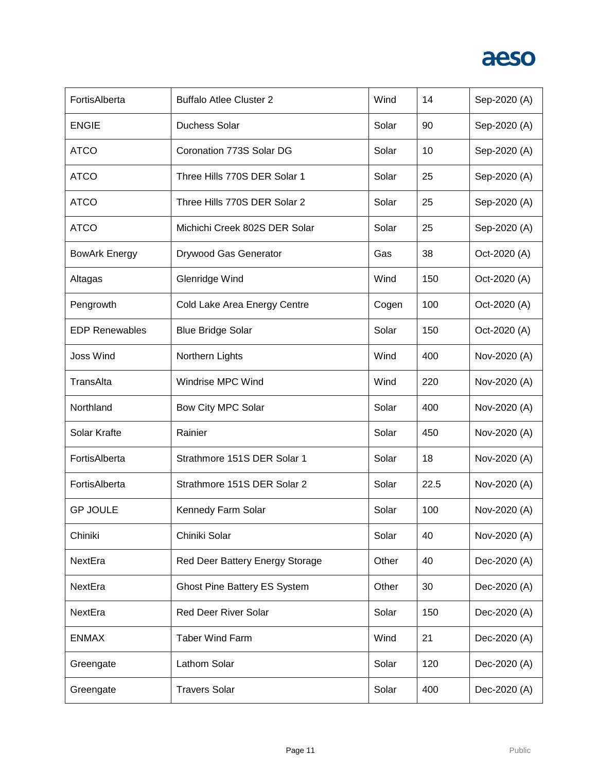

| FortisAlberta         | <b>Buffalo Atlee Cluster 2</b>      | Wind  | 14   | Sep-2020 (A) |
|-----------------------|-------------------------------------|-------|------|--------------|
| <b>ENGIE</b>          | <b>Duchess Solar</b>                | Solar | 90   | Sep-2020 (A) |
| <b>ATCO</b>           | Coronation 773S Solar DG            | Solar | 10   | Sep-2020 (A) |
| <b>ATCO</b>           | Three Hills 770S DER Solar 1        | Solar | 25   | Sep-2020 (A) |
| <b>ATCO</b>           | Three Hills 770S DER Solar 2        | Solar | 25   | Sep-2020 (A) |
| <b>ATCO</b>           | Michichi Creek 802S DER Solar       | Solar | 25   | Sep-2020 (A) |
| <b>BowArk Energy</b>  | Drywood Gas Generator               | Gas   | 38   | Oct-2020 (A) |
| Altagas               | Glenridge Wind                      | Wind  | 150  | Oct-2020 (A) |
| Pengrowth             | Cold Lake Area Energy Centre        | Cogen | 100  | Oct-2020 (A) |
| <b>EDP Renewables</b> | <b>Blue Bridge Solar</b>            | Solar | 150  | Oct-2020 (A) |
| <b>Joss Wind</b>      | Northern Lights                     | Wind  | 400  | Nov-2020 (A) |
| TransAlta             | Windrise MPC Wind                   | Wind  | 220  | Nov-2020 (A) |
| Northland             | Bow City MPC Solar                  | Solar | 400  | Nov-2020 (A) |
| Solar Krafte          | Rainier                             | Solar | 450  | Nov-2020 (A) |
| FortisAlberta         | Strathmore 151S DER Solar 1         | Solar | 18   | Nov-2020 (A) |
| FortisAlberta         | Strathmore 151S DER Solar 2         | Solar | 22.5 | Nov-2020 (A) |
| <b>GP JOULE</b>       | Kennedy Farm Solar                  | Solar | 100  | Nov-2020 (A) |
| Chiniki               | Chiniki Solar                       | Solar | 40   | Nov-2020 (A) |
| NextEra               | Red Deer Battery Energy Storage     | Other | 40   | Dec-2020 (A) |
| NextEra               | <b>Ghost Pine Battery ES System</b> | Other | 30   | Dec-2020 (A) |
| NextEra               | <b>Red Deer River Solar</b>         | Solar | 150  | Dec-2020 (A) |
| <b>ENMAX</b>          | <b>Taber Wind Farm</b>              | Wind  | 21   | Dec-2020 (A) |
| Greengate             | Lathom Solar                        | Solar | 120  | Dec-2020 (A) |
| Greengate             | <b>Travers Solar</b>                | Solar | 400  | Dec-2020 (A) |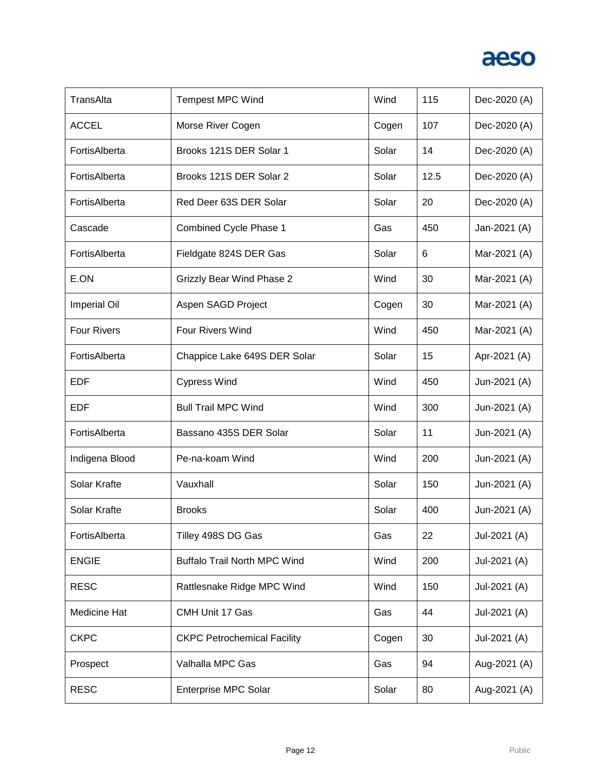

| TransAlta           | <b>Tempest MPC Wind</b>             | Wind  | 115  | Dec-2020 (A) |
|---------------------|-------------------------------------|-------|------|--------------|
| <b>ACCEL</b>        | Morse River Cogen                   | Cogen | 107  | Dec-2020 (A) |
| FortisAlberta       | Brooks 121S DER Solar 1             | Solar | 14   | Dec-2020 (A) |
| FortisAlberta       | Brooks 121S DER Solar 2             | Solar | 12.5 | Dec-2020 (A) |
| FortisAlberta       | Red Deer 63S DER Solar              | Solar | 20   | Dec-2020 (A) |
| Cascade             | <b>Combined Cycle Phase 1</b>       | Gas   | 450  | Jan-2021 (A) |
| FortisAlberta       | Fieldgate 824S DER Gas              | Solar | 6    | Mar-2021 (A) |
| E.ON                | <b>Grizzly Bear Wind Phase 2</b>    | Wind  | 30   | Mar-2021 (A) |
| <b>Imperial Oil</b> | Aspen SAGD Project                  | Cogen | 30   | Mar-2021 (A) |
| <b>Four Rivers</b>  | Four Rivers Wind                    | Wind  | 450  | Mar-2021 (A) |
| FortisAlberta       | Chappice Lake 649S DER Solar        | Solar | 15   | Apr-2021 (A) |
| EDF                 | <b>Cypress Wind</b>                 | Wind  | 450  | Jun-2021 (A) |
| <b>EDF</b>          | <b>Bull Trail MPC Wind</b>          | Wind  | 300  | Jun-2021 (A) |
| FortisAlberta       | Bassano 435S DER Solar              | Solar | 11   | Jun-2021 (A) |
| Indigena Blood      | Pe-na-koam Wind                     | Wind  | 200  | Jun-2021 (A) |
| Solar Krafte        | Vauxhall                            | Solar | 150  | Jun-2021 (A) |
| Solar Krafte        | <b>Brooks</b>                       | Solar | 400  | Jun-2021 (A) |
| FortisAlberta       | Tilley 498S DG Gas                  | Gas   | 22   | Jul-2021 (A) |
| <b>ENGIE</b>        | <b>Buffalo Trail North MPC Wind</b> | Wind  | 200  | Jul-2021 (A) |
| <b>RESC</b>         | Rattlesnake Ridge MPC Wind          | Wind  | 150  | Jul-2021 (A) |
| Medicine Hat        | CMH Unit 17 Gas                     | Gas   | 44   | Jul-2021 (A) |
| <b>CKPC</b>         | <b>CKPC Petrochemical Facility</b>  | Cogen | 30   | Jul-2021 (A) |
| Prospect            | Valhalla MPC Gas                    | Gas   | 94   | Aug-2021 (A) |
| <b>RESC</b>         | <b>Enterprise MPC Solar</b>         | Solar | 80   | Aug-2021 (A) |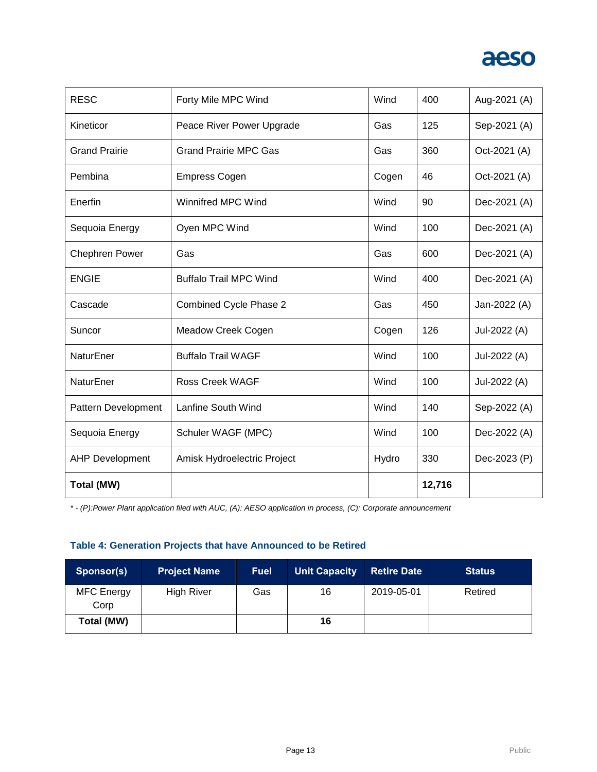

| <b>RESC</b>            | Forty Mile MPC Wind           | Wind  | 400    | Aug-2021 (A) |
|------------------------|-------------------------------|-------|--------|--------------|
| Kineticor              | Peace River Power Upgrade     | Gas   | 125    | Sep-2021 (A) |
| <b>Grand Prairie</b>   | <b>Grand Prairie MPC Gas</b>  | Gas   | 360    | Oct-2021 (A) |
| Pembina                | <b>Empress Cogen</b>          | Cogen | 46     | Oct-2021 (A) |
| Enerfin                | Winnifred MPC Wind            | Wind  | 90     | Dec-2021 (A) |
| Sequoia Energy         | Oyen MPC Wind                 | Wind  | 100    | Dec-2021 (A) |
| <b>Chephren Power</b>  | Gas                           | Gas   | 600    | Dec-2021 (A) |
| <b>ENGIE</b>           | <b>Buffalo Trail MPC Wind</b> | Wind  | 400    | Dec-2021 (A) |
| Cascade                | Combined Cycle Phase 2        | Gas   | 450    | Jan-2022 (A) |
| Suncor                 | Meadow Creek Cogen            | Cogen | 126    | Jul-2022 (A) |
| NaturEner              | <b>Buffalo Trail WAGF</b>     | Wind  | 100    | Jul-2022 (A) |
| NaturEner              | <b>Ross Creek WAGF</b>        | Wind  | 100    | Jul-2022 (A) |
| Pattern Development    | Lanfine South Wind            | Wind  | 140    | Sep-2022 (A) |
| Sequoia Energy         | Schuler WAGF (MPC)            | Wind  | 100    | Dec-2022 (A) |
| <b>AHP Development</b> | Amisk Hydroelectric Project   | Hydro | 330    | Dec-2023 (P) |
| <b>Total (MW)</b>      |                               |       | 12,716 |              |

*\* - (P):Power Plant application filed with AUC, (A): AESO application in process, (C): Corporate announcement*

### **Table 4: Generation Projects that have Announced to be Retired**

| Sponsor(s)         | <b>Project Name</b> | <b>Fuel</b> | Unit Capacity | <b>Retire Date</b> | <b>Status</b> |
|--------------------|---------------------|-------------|---------------|--------------------|---------------|
| MFC Energy<br>Corp | <b>High River</b>   | Gas         | 16            | 2019-05-01         | Retired       |
| Total (MW)         |                     |             | 16            |                    |               |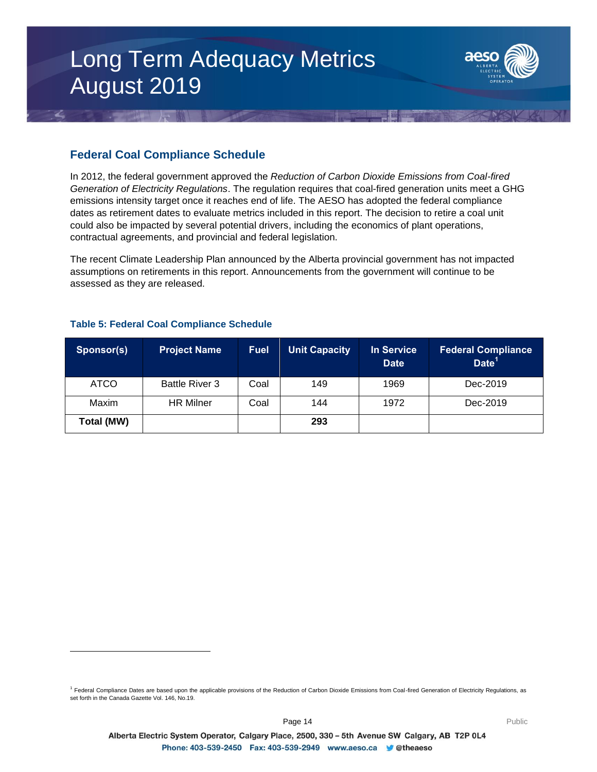# Long Term Adequacy Metrics August 2019



### **Federal Coal Compliance Schedule**

In 2012, the federal government approved the *Reduction of Carbon Dioxide Emissions from Coal-fired Generation of Electricity Regulations*. The regulation requires that coal-fired generation units meet a GHG emissions intensity target once it reaches end of life. The AESO has adopted the federal compliance dates as retirement dates to evaluate metrics included in this report. The decision to retire a coal unit could also be impacted by several potential drivers, including the economics of plant operations, contractual agreements, and provincial and federal legislation.

The recent Climate Leadership Plan announced by the Alberta provincial government has not impacted assumptions on retirements in this report. Announcements from the government will continue to be assessed as they are released.

| Sponsor(s)  | <b>Project Name</b>   | <b>Fuel</b> | <b>Unit Capacity</b> | In Service<br><b>Date</b> | <b>Federal Compliance</b><br>Date <sup>1</sup> |
|-------------|-----------------------|-------------|----------------------|---------------------------|------------------------------------------------|
| <b>ATCO</b> | <b>Battle River 3</b> | Coal        | 149                  | 1969                      | Dec-2019                                       |
| Maxim       | <b>HR Milner</b>      | Coal        | 144                  | 1972                      | Dec-2019                                       |
| Total (MW)  |                       |             | 293                  |                           |                                                |

### **Table 5: Federal Coal Compliance Schedule**

l

<sup>&</sup>lt;sup>1</sup> Federal Compliance Dates are based upon the applicable provisions of the Reduction of Carbon Dioxide Emissions from Coal-fired Generation of Electricity Regulations, as set forth in the Canada Gazette Vol. 146, No.19.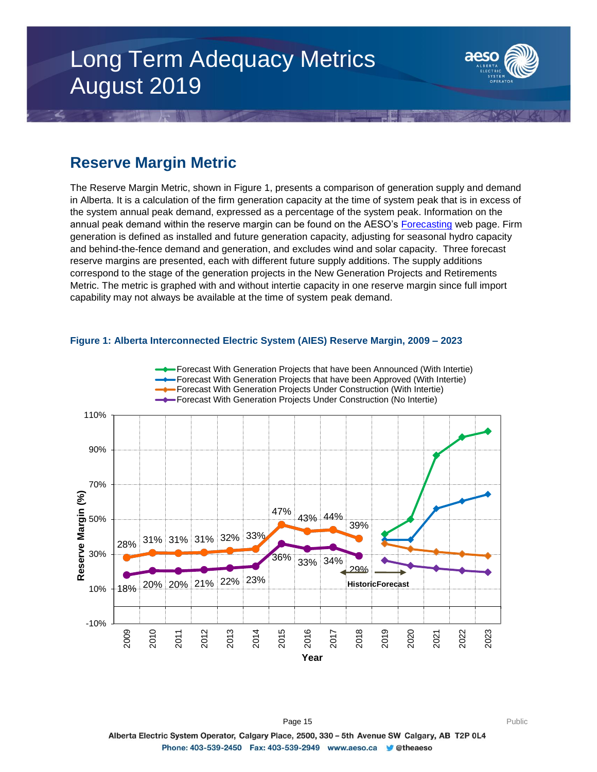# Long Term Adequacy Metrics August 2019



### **Reserve Margin Metric**

The Reserve Margin Metric, shown in Figure 1, presents a comparison of generation supply and demand in Alberta. It is a calculation of the firm generation capacity at the time of system peak that is in excess of the system annual peak demand, expressed as a percentage of the system peak. Information on the annual peak demand within the reserve margin can be found on the AESO's [Forecasting](https://www.aeso.ca/grid/forecasting) web page. Firm generation is defined as installed and future generation capacity, adjusting for seasonal hydro capacity and behind-the-fence demand and generation, and excludes wind and solar capacity. Three forecast reserve margins are presented, each with different future supply additions. The supply additions correspond to the stage of the generation projects in the New Generation Projects and Retirements Metric. The metric is graphed with and without intertie capacity in one reserve margin since full import capability may not always be available at the time of system peak demand.



### **Figure 1: Alberta Interconnected Electric System (AIES) Reserve Margin, 2009 – 2023**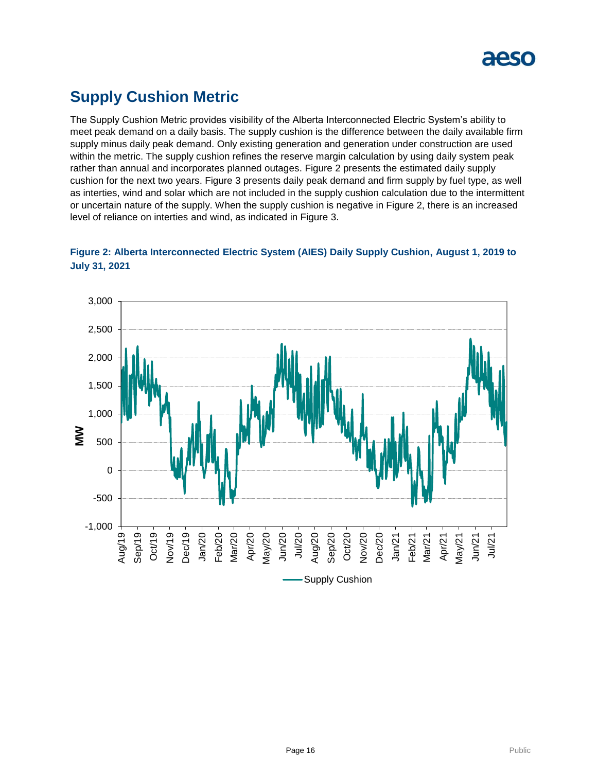

## **Supply Cushion Metric**

The Supply Cushion Metric provides visibility of the Alberta Interconnected Electric System's ability to meet peak demand on a daily basis. The supply cushion is the difference between the daily available firm supply minus daily peak demand. Only existing generation and generation under construction are used within the metric. The supply cushion refines the reserve margin calculation by using daily system peak rather than annual and incorporates planned outages. Figure 2 presents the estimated daily supply cushion for the next two years. Figure 3 presents daily peak demand and firm supply by fuel type, as well as interties, wind and solar which are not included in the supply cushion calculation due to the intermittent or uncertain nature of the supply. When the supply cushion is negative in Figure 2, there is an increased level of reliance on interties and wind, as indicated in Figure 3.



### **Figure 2: Alberta Interconnected Electric System (AIES) Daily Supply Cushion, August 1, 2019 to July 31, 2021**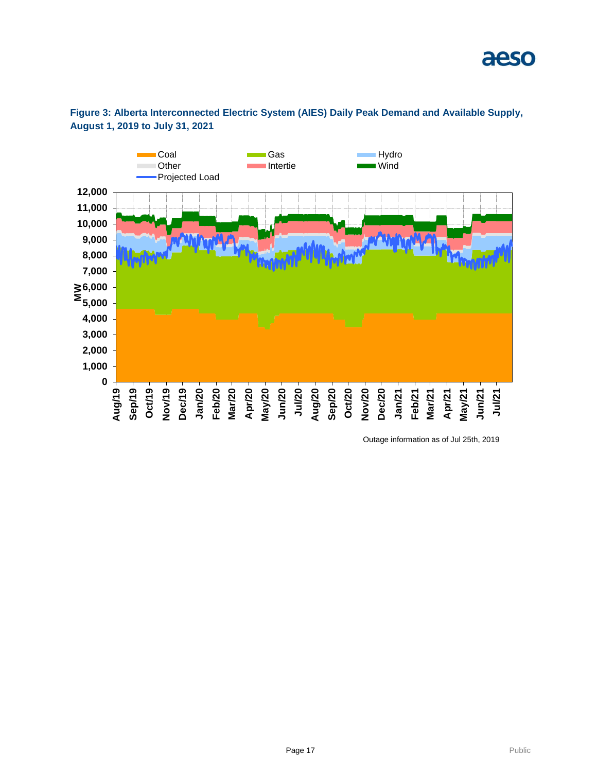



Outage information as of Jul 25th, 2019